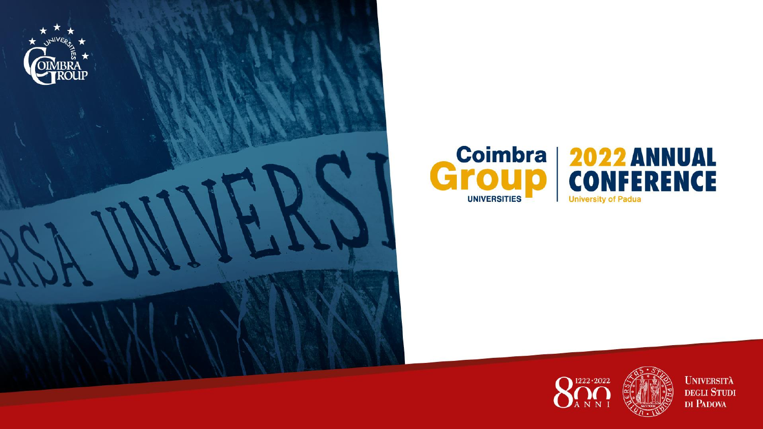





**UNIVERSITÀ** DEGLI STUDI DI PADOVA

E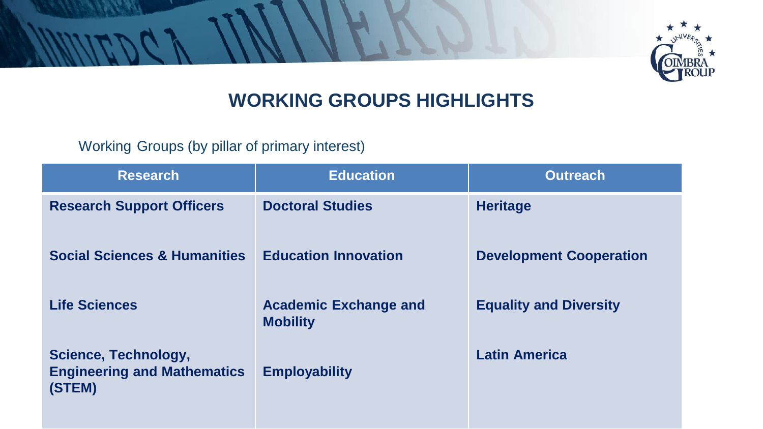

## **WORKING GROUPS HIGHLIGHTS**

Working Groups (by pillar of primary interest)

| <b>Research</b>                                                      | <b>Education</b>                                | <b>Outreach</b>                |
|----------------------------------------------------------------------|-------------------------------------------------|--------------------------------|
| <b>Research Support Officers</b>                                     | <b>Doctoral Studies</b>                         | <b>Heritage</b>                |
| <b>Social Sciences &amp; Humanities</b>                              | <b>Education Innovation</b>                     | <b>Development Cooperation</b> |
| <b>Life Sciences</b>                                                 | <b>Academic Exchange and</b><br><b>Mobility</b> | <b>Equality and Diversity</b>  |
| Science, Technology,<br><b>Engineering and Mathematics</b><br>(STEM) | <b>Employability</b>                            | <b>Latin America</b>           |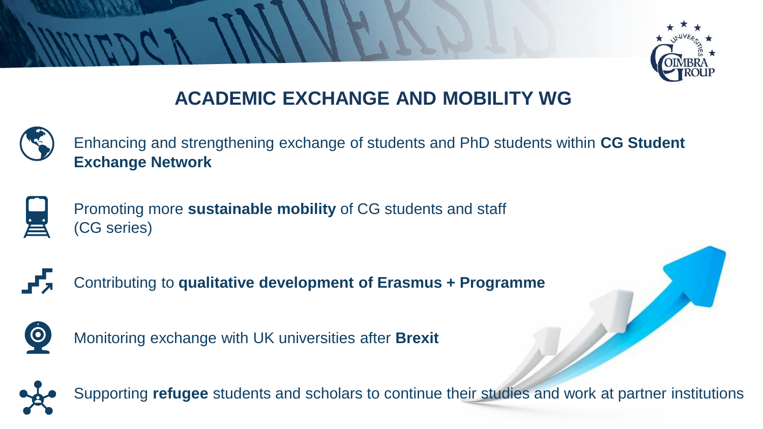

## **ACADEMIC EXCHANGE AND MOBILITY WG**



Enhancing and strengthening exchange of students and PhD students within **CG Student Exchange Network**



Promoting more **sustainable mobility** of CG students and staff (CG series)



Contributing to **qualitative development of Erasmus + Programme**



Monitoring exchange with UK universities after **Brexit**

Supporting **refugee** students and scholars to continue their studies and work at partner institutions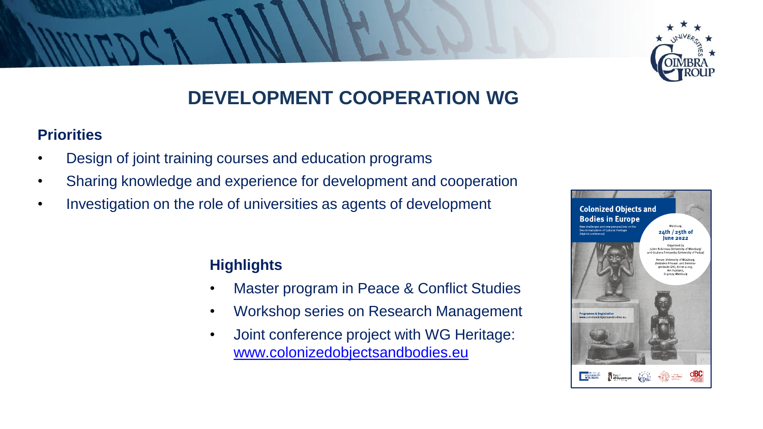

## **DEVELOPMENT COOPERATION WG**

#### **Priorities**

- Design of joint training courses and education programs
- Sharing knowledge and experience for development and cooperation
- Investigation on the role of universities as agents of development

### **Highlights**

- Master program in Peace & Conflict Studies
- Workshop series on Research Management
- Joint conference project with WG Heritage: [www.colonizedobjectsandbodies.eu](http://www.colonizedobjectsandbodies.eu/)

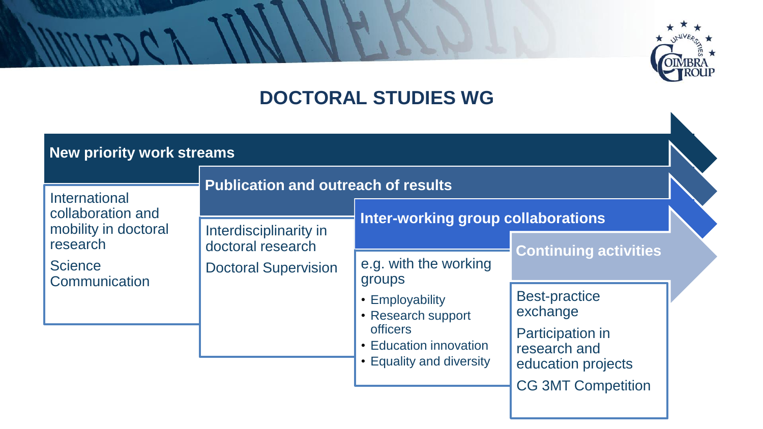# **IBRA**<br>ROUP

## **DOCTORAL STUDIES WG**

| New priority work streams                                                                                                                                                               |                                                                                                                          |                                                                                            |                              |  |
|-----------------------------------------------------------------------------------------------------------------------------------------------------------------------------------------|--------------------------------------------------------------------------------------------------------------------------|--------------------------------------------------------------------------------------------|------------------------------|--|
| International<br>collaboration and<br>mobility in doctoral<br>Interdisciplinarity in<br>research<br>doctoral research<br><b>Science</b><br><b>Doctoral Supervision</b><br>Communication | <b>Publication and outreach of results</b><br>Inter-working group collaborations                                         |                                                                                            |                              |  |
|                                                                                                                                                                                         |                                                                                                                          | e.g. with the working                                                                      | <b>Continuing activities</b> |  |
|                                                                                                                                                                                         | groups<br>• Employability<br>• Research support<br><b>officers</b><br>• Education innovation<br>• Equality and diversity | <b>Best-practice</b><br>exchange<br>Participation in<br>research and<br>education projects |                              |  |
|                                                                                                                                                                                         |                                                                                                                          |                                                                                            | <b>CG 3MT Competition</b>    |  |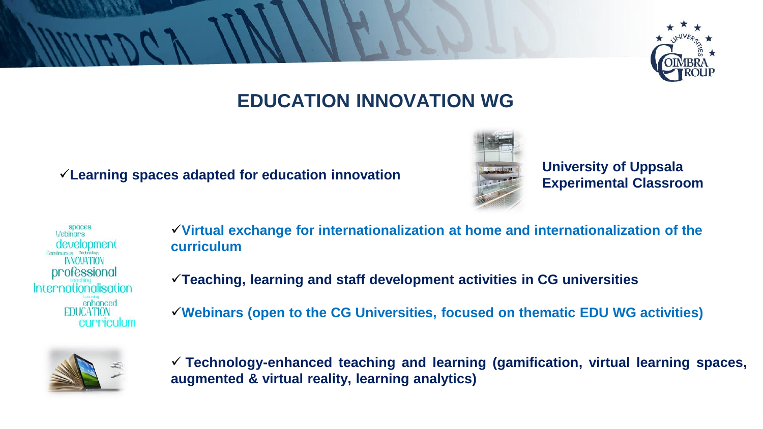

## **EDUCATION INNOVATION WG**

**Experimental Classroom** ✓**Learning spaces adapted for education innovation**



**University of Uppsala** 

**SDOCES Webinars** <u>development</u> **INNOUATION** professional Internationalisation enhanced **EDUCATION** cummiculum ✓**Virtual exchange for internationalization at home and internationalization of the curriculum**

✓**Teaching, learning and staff development activities in CG universities**

✓**Webinars (open to the CG Universities, focused on thematic EDU WG activities)**



✓ **Technology-enhanced teaching and learning (gamification, virtual learning spaces, augmented & virtual reality, learning analytics)**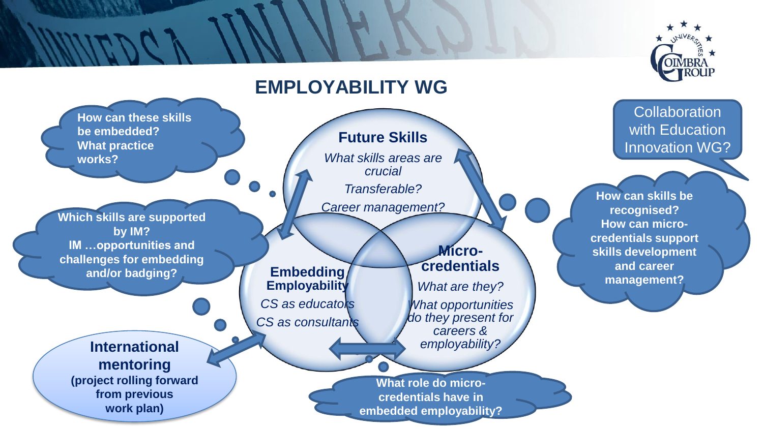#### **DIMBRA OUP EMPLOYABILITY WG Collaboration How can these skills**  with Education **be embedded? Future Skills What practice**  Innovation WG? *What skills areas are*  **works?**  *crucial Transferable?* **How can skills be**  *Career management?*  **recognised? Which skills are supported How can microby IM? credentials support IM …opportunities and Microskills development challenges for embedding credentials and career Embedding and/or badging? management? Employability** *What are they? CS as educators What opportunities do they present for CS as consultants careers & employability?*  **International mentoring (project rolling forward What role do microfrom previous credentials have in work plan) embedded employability?**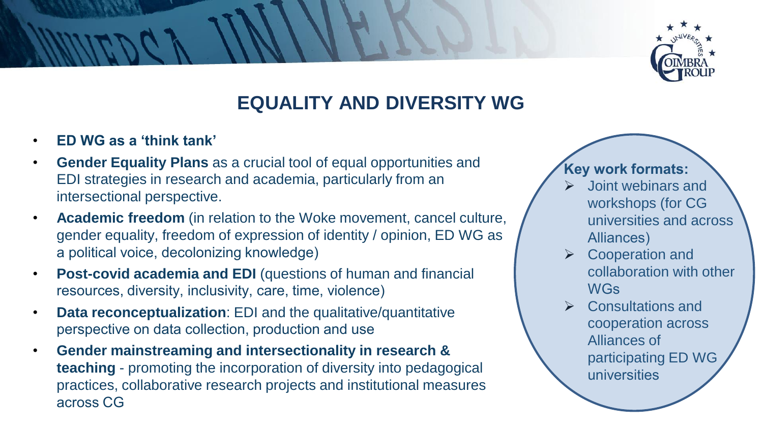

## **EQUALITY AND DIVERSITY WG**

- **ED WG as a 'think tank'**
- **Gender Equality Plans** as a crucial tool of equal opportunities and EDI strategies in research and academia, particularly from an intersectional perspective.
- **Academic freedom** (in relation to the Woke movement, cancel culture, gender equality, freedom of expression of identity / opinion, ED WG as a political voice, decolonizing knowledge)
- **Post-covid academia and EDI** (questions of human and financial resources, diversity, inclusivity, care, time, violence)
- **Data reconceptualization**: EDI and the qualitative/quantitative perspective on data collection, production and use
- **Gender mainstreaming and intersectionality in research & teaching** - promoting the incorporation of diversity into pedagogical practices, collaborative research projects and institutional measures across CG

#### **Key work formats:**

- ➢ Joint webinars and workshops (for CG universities and across Alliances)
- ➢ Cooperation and collaboration with other **WGs**
- ➢ Consultations and cooperation across Alliances of participating ED WG universities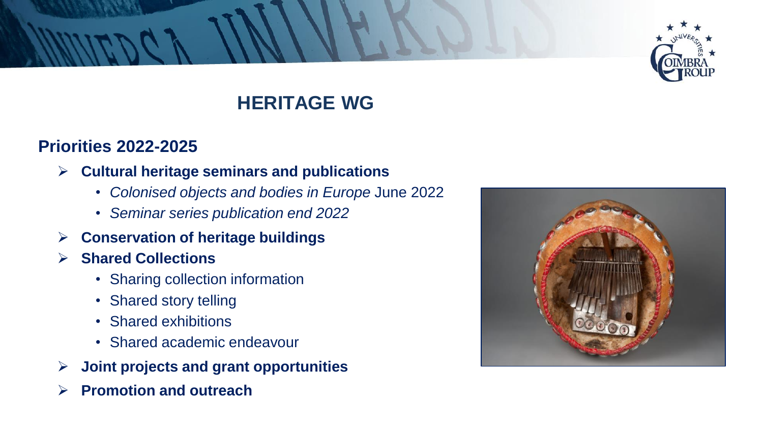

## **HERITAGE WG**

#### **Priorities 2022-2025**

- ➢ **Cultural heritage seminars and publications**
	- *Colonised objects and bodies in Europe* June 2022
	- *Seminar series publication end 2022*
- ➢ **Conservation of heritage buildings**
- ➢ **Shared Collections**
	- Sharing collection information
	- Shared story telling
	- Shared exhibitions
	- Shared academic endeavour
- ➢ **Joint projects and grant opportunities**
- ➢ **Promotion and outreach**

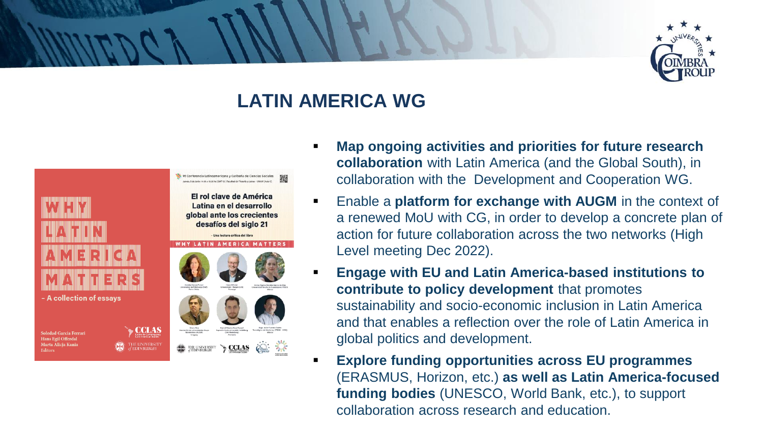

## **LATIN AMERICA WG**



- **Map ongoing activities and priorities for future research collaboration** with Latin America (and the Global South), in collaboration with the Development and Cooperation WG.
- Enable a **platform for exchange with AUGM** in the context of a renewed MoU with CG, in order to develop a concrete plan of action for future collaboration across the two networks (High Level meeting Dec 2022).
- **Engage with EU and Latin America-based institutions to contribute to policy development** that promotes sustainability and socio-economic inclusion in Latin America and that enables a reflection over the role of Latin America in global politics and development.
- **Explore funding opportunities across EU programmes** (ERASMUS, Horizon, etc.) **as well as Latin America-focused funding bodies** (UNESCO, World Bank, etc.), to support collaboration across research and education.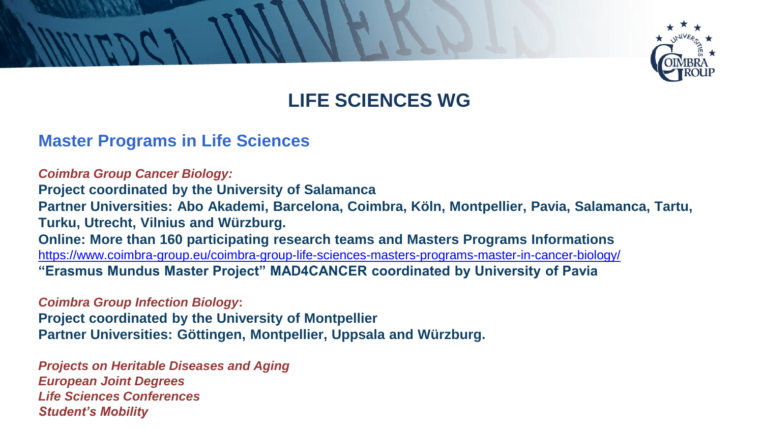

## **LIFE SCIENCES WG**

#### **Master Programs in Life Sciences**

*Coimbra Group Cancer Biology:*  **Project coordinated by the University of Salamanca Partner Universities: Abo Akademi, Barcelona, Coimbra, Köln, Montpellier, Pavia, Salamanca, Tartu, Turku, Utrecht, Vilnius and Würzburg. Online: More than 160 participating research teams and Masters Programs Informations** <https://www.coimbra-group.eu/coimbra-group-life-sciences-masters-programs-master-in-cancer-biology/> **"Erasmus Mundus Master Project" MAD4CANCER coordinated by University of Pavia**

*Coimbra Group Infection Biology***:** 

**Project coordinated by the University of Montpellier Partner Universities: Göttingen, Montpellier, Uppsala and Würzburg.**

*Projects on Heritable Diseases and Aging European Joint Degrees Life Sciences Conferences Student's Mobility*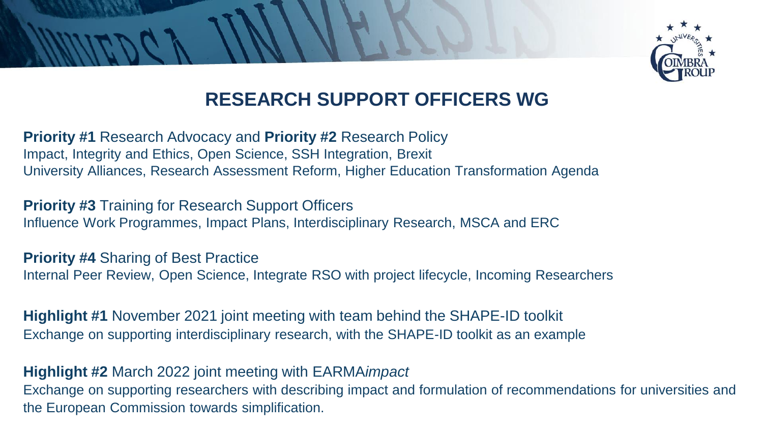

## **RESEARCH SUPPORT OFFICERS WG**

**Priority #1** Research Advocacy and **Priority #2** Research Policy Impact, Integrity and Ethics, Open Science, SSH Integration, Brexit University Alliances, Research Assessment Reform, Higher Education Transformation Agenda

**Priority #3** Training for Research Support Officers Influence Work Programmes, Impact Plans, Interdisciplinary Research, MSCA and ERC

**Priority #4** Sharing of Best Practice Internal Peer Review, Open Science, Integrate RSO with project lifecycle, Incoming Researchers

**Highlight #1** November 2021 joint meeting with team behind the SHAPE-ID toolkit Exchange on supporting interdisciplinary research, with the SHAPE-ID toolkit as an example

**Highlight #2** March 2022 joint meeting with EARMA*impact* Exchange on supporting researchers with describing impact and formulation of recommendations for universities and the European Commission towards simplification.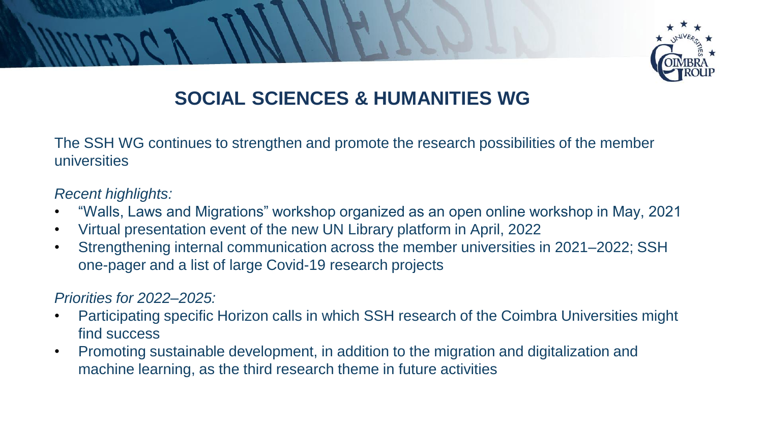

## **SOCIAL SCIENCES & HUMANITIES WG**

The SSH WG continues to strengthen and promote the research possibilities of the member universities

#### *Recent highlights:*

- "Walls, Laws and Migrations" workshop organized as an open online workshop in May, 2021
- Virtual presentation event of the new UN Library platform in April, 2022
- Strengthening internal communication across the member universities in 2021–2022; SSH one-pager and a list of large Covid-19 research projects

#### *Priorities for 2022–2025:*

- Participating specific Horizon calls in which SSH research of the Coimbra Universities might find success
- Promoting sustainable development, in addition to the migration and digitalization and machine learning, as the third research theme in future activities